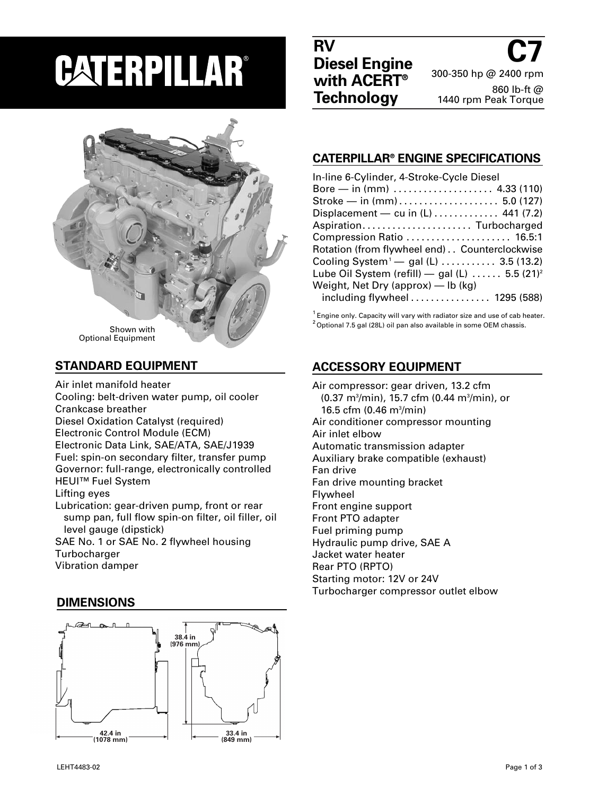# **PATERPILLAR®**



### **STANDARD EQUIPMENT**

Air inlet manifold heater Cooling: belt-driven water pump, oil cooler Crankcase breather Diesel Oxidation Catalyst (required) Electronic Control Module (ECM) Electronic Data Link, SAE/ATA, SAE/J1939 Fuel: spin-on secondary filter, transfer pump Governor: full-range, electronically controlled

HEUI™ Fuel System

Lifting eyes

Lubrication: gear-driven pump, front or rear sump pan, full flow spin-on filter, oil filler, oil level gauge (dipstick)

SAE No. 1 or SAE No. 2 flywheel housing **Turbocharger** Vibration damper

### **DIMENSIONS**



**C7** 300-350 hp @ 2400 rpm 860 lb-ft @ 1440 rpm Peak Torque

### **CATERPILLAR® ENGINE SPECIFICATIONS**

| In-line 6-Cylinder, 4-Stroke-Cycle Diesel                 |
|-----------------------------------------------------------|
| Bore — in (mm) $\dots \dots \dots \dots \dots$ 4.33 (110) |
|                                                           |
| Displacement — cu in $(L)$ 441 (7.2)                      |
| Aspiration Turbocharged                                   |
| Compression Ratio  16.5:1                                 |
| Rotation (from flywheel end) Counterclockwise             |
| Cooling System <sup>1</sup> - gal (L)  3.5 (13.2)         |
| Lube Oil System (refill) - gal (L)  5.5 $(21)^2$          |
| Weight, Net Dry (approx) $-$ lb (kg)                      |
| including flywheel 1295 (588)                             |

 $1$  Engine only. Capacity will vary with radiator size and use of cab heater.  $2$ Optional 7.5 gal (28L) oil pan also available in some OEM chassis.

# **ACCESSORY EQUIPMENT**

Air compressor: gear driven, 13.2 cfm (0.37 m3 /min), 15.7 cfm (0.44 m3 /min), or 16.5 cfm (0.46 m3 /min) Air conditioner compressor mounting Air inlet elbow Automatic transmission adapter Auxiliary brake compatible (exhaust) Fan drive Fan drive mounting bracket Flywheel Front engine support Front PTO adapter Fuel priming pump Hydraulic pump drive, SAE A Jacket water heater Rear PTO (RPTO) Starting motor: 12V or 24V Turbocharger compressor outlet elbow

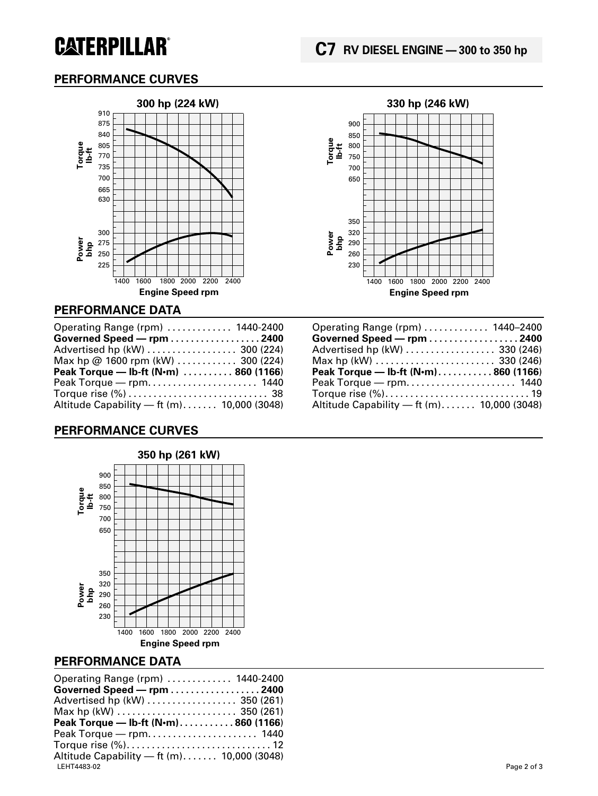# **CATERPILLAR®**

# **PERFORMANCE CURVES**





### **PERFORMANCE DATA**

| Operating Range (rpm)  1440-2400      |  |
|---------------------------------------|--|
| Governed Speed - rpm 2400             |  |
| Advertised hp (kW)  300 (224)         |  |
| Max hp @ 1600 rpm (kW)  300 (224)     |  |
|                                       |  |
| Peak Torque — Ib-ft (N·m)  860 (1166) |  |
|                                       |  |
|                                       |  |

### **PERFORMANCE CURVES**



#### **PERFORMANCE DATA**

| Operating Range (rpm) $\dots\dots\dots\dots$ 1440-2400                   |             |
|--------------------------------------------------------------------------|-------------|
| Governed Speed – rpm 2400                                                |             |
| Advertised hp (kW)  350 (261)                                            |             |
| Max hp (kW) $\ldots \ldots \ldots \ldots \ldots \ldots \ldots$ 350 (261) |             |
| Peak Torque — Ib-ft (N·m)860 (1166)                                      |             |
|                                                                          |             |
|                                                                          |             |
| Altitude Capability $-$ ft (m) 10,000 (3048)                             |             |
|                                                                          | Page 2 of 3 |
|                                                                          |             |

| Operating Range (rpm)  1440-2400                                         |  |
|--------------------------------------------------------------------------|--|
| Governed Speed - rpm 2400                                                |  |
| Advertised hp (kW)  330 (246)                                            |  |
| Max hp (kW) $\ldots \ldots \ldots \ldots \ldots \ldots \ldots$ 330 (246) |  |
|                                                                          |  |
| Peak Torque — Ib-ft (N·m)860 (1166)                                      |  |
|                                                                          |  |
| Torque rise (%) 19                                                       |  |